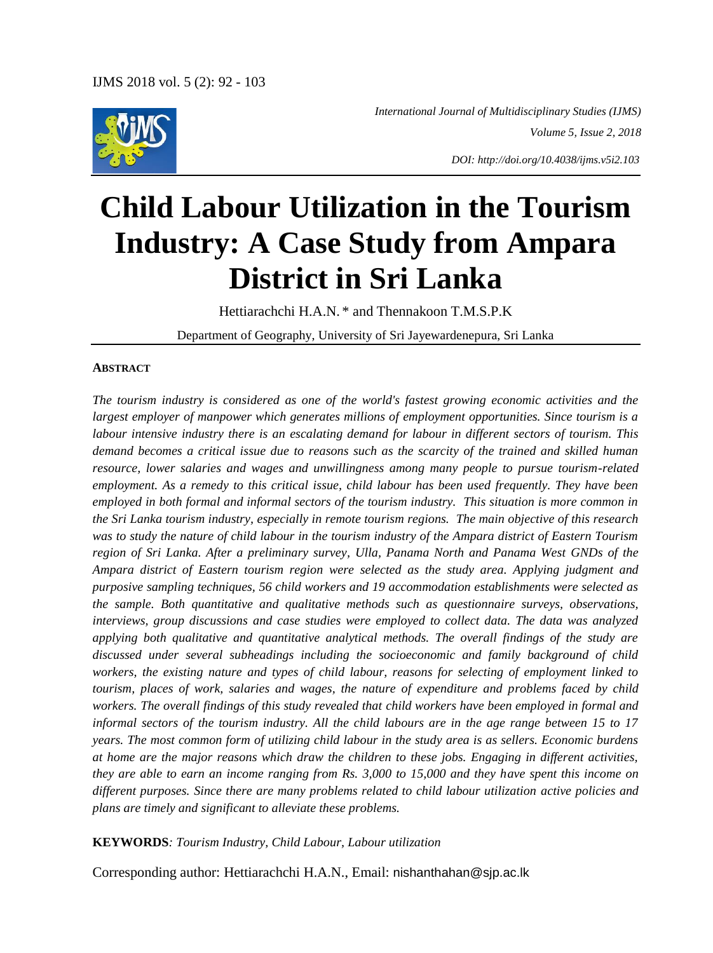

 *International Journal of Multidisciplinary Studies (IJMS) Volume 5, Issue 2, 2018*

*DOI: http://doi.org/10.4038/ijms.v5i2.103*

# **Child Labour Utilization in the Tourism Industry: A Case Study from Ampara District in Sri Lanka**

Hettiarachchi H.A.N. \* and Thennakoon T.M.S.P.K

Department of Geography, University of Sri Jayewardenepura, Sri Lanka

#### **ABSTRACT**

*The tourism industry is considered as one of the world's fastest growing economic activities and the largest employer of manpower which generates millions of employment opportunities. Since tourism is a labour intensive industry there is an escalating demand for labour in different sectors of tourism. This demand becomes a critical issue due to reasons such as the scarcity of the trained and skilled human resource, lower salaries and wages and unwillingness among many people to pursue tourism-related employment. As a remedy to this critical issue, child labour has been used frequently. They have been employed in both formal and informal sectors of the tourism industry. This situation is more common in the Sri Lanka tourism industry, especially in remote tourism regions. The main objective of this research was to study the nature of child labour in the tourism industry of the Ampara district of Eastern Tourism region of Sri Lanka. After a preliminary survey, Ulla, Panama North and Panama West GNDs of the Ampara district of Eastern tourism region were selected as the study area. Applying judgment and purposive sampling techniques, 56 child workers and 19 accommodation establishments were selected as the sample. Both quantitative and qualitative methods such as questionnaire surveys, observations, interviews, group discussions and case studies were employed to collect data. The data was analyzed applying both qualitative and quantitative analytical methods. The overall findings of the study are discussed under several subheadings including the socioeconomic and family background of child workers, the existing nature and types of child labour, reasons for selecting of employment linked to tourism, places of work, salaries and wages, the nature of expenditure and problems faced by child workers. The overall findings of this study revealed that child workers have been employed in formal and informal sectors of the tourism industry. All the child labours are in the age range between 15 to 17 years. The most common form of utilizing child labour in the study area is as sellers. Economic burdens at home are the major reasons which draw the children to these jobs. Engaging in different activities, they are able to earn an income ranging from Rs. 3,000 to 15,000 and they have spent this income on different purposes. Since there are many problems related to child labour utilization active policies and plans are timely and significant to alleviate these problems.* 

#### **KEYWORDS***: Tourism Industry, Child Labour, Labour utilization*

Corresponding author: Hettiarachchi H.A.N., Email: nishanthahan@sjp.ac.lk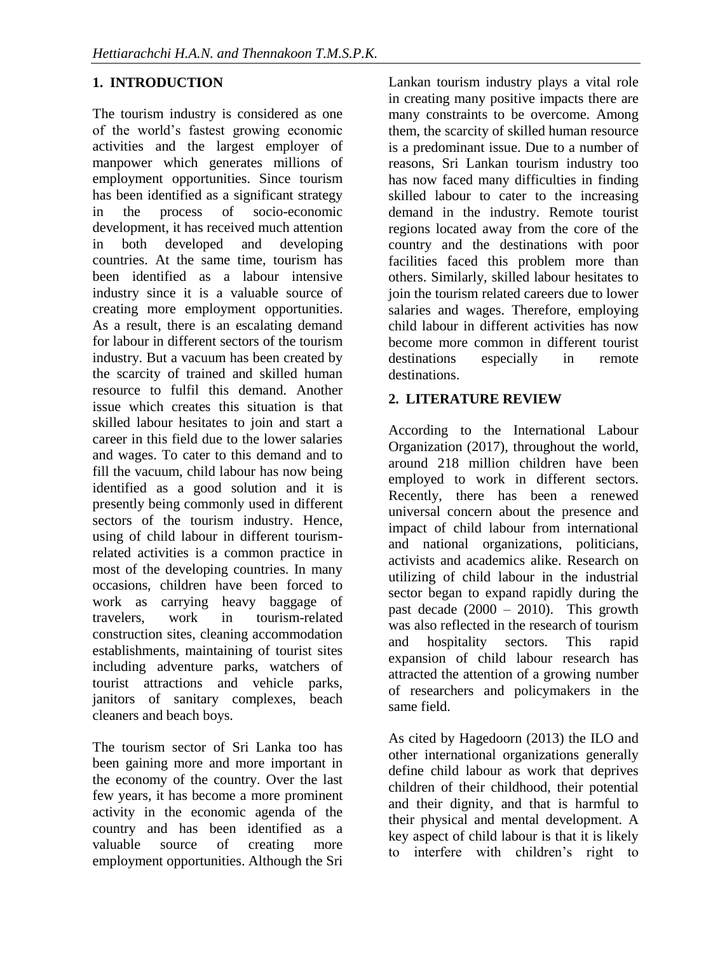## **1. INTRODUCTION**

The tourism industry is considered as one of the world's fastest growing economic activities and the largest employer of manpower which generates millions of employment opportunities. Since tourism has been identified as a significant strategy in the process of socio-economic development, it has received much attention in both developed and developing countries. At the same time, tourism has been identified as a labour intensive industry since it is a valuable source of creating more employment opportunities. As a result, there is an escalating demand for labour in different sectors of the tourism industry. But a vacuum has been created by the scarcity of trained and skilled human resource to fulfil this demand. Another issue which creates this situation is that skilled labour hesitates to join and start a career in this field due to the lower salaries and wages. To cater to this demand and to fill the vacuum, child labour has now being identified as a good solution and it is presently being commonly used in different sectors of the tourism industry. Hence, using of child labour in different tourismrelated activities is a common practice in most of the developing countries. In many occasions, children have been forced to work as carrying heavy baggage of travelers, work in tourism-related construction sites, cleaning accommodation establishments, maintaining of tourist sites including adventure parks, watchers of tourist attractions and vehicle parks, janitors of sanitary complexes, beach cleaners and beach boys.

The tourism sector of Sri Lanka too has been gaining more and more important in the economy of the country. Over the last few years, it has become a more prominent activity in the economic agenda of the country and has been identified as a valuable source of creating more employment opportunities. Although the Sri

Lankan tourism industry plays a vital role in creating many positive impacts there are many constraints to be overcome. Among them, the scarcity of skilled human resource is a predominant issue. Due to a number of reasons, Sri Lankan tourism industry too has now faced many difficulties in finding skilled labour to cater to the increasing demand in the industry. Remote tourist regions located away from the core of the country and the destinations with poor facilities faced this problem more than others. Similarly, skilled labour hesitates to join the tourism related careers due to lower salaries and wages. Therefore, employing child labour in different activities has now become more common in different tourist destinations especially in remote destinations.

## **2. LITERATURE REVIEW**

According to the International Labour Organization (2017), throughout the world, around 218 million children have been employed to work in different sectors. Recently, there has been a renewed universal concern about the presence and impact of child labour from international and national organizations, politicians, activists and academics alike. Research on utilizing of child labour in the industrial sector began to expand rapidly during the past decade  $(2000 - 2010)$ . This growth was also reflected in the research of tourism and hospitality sectors. This rapid expansion of child labour research has attracted the attention of a growing number of researchers and policymakers in the same field.

As cited by Hagedoorn (2013) the ILO and other international organizations generally define child labour as work that deprives children of their childhood, their potential and their dignity, and that is harmful to their physical and mental development. A key aspect of child labour is that it is likely to interfere with children's right to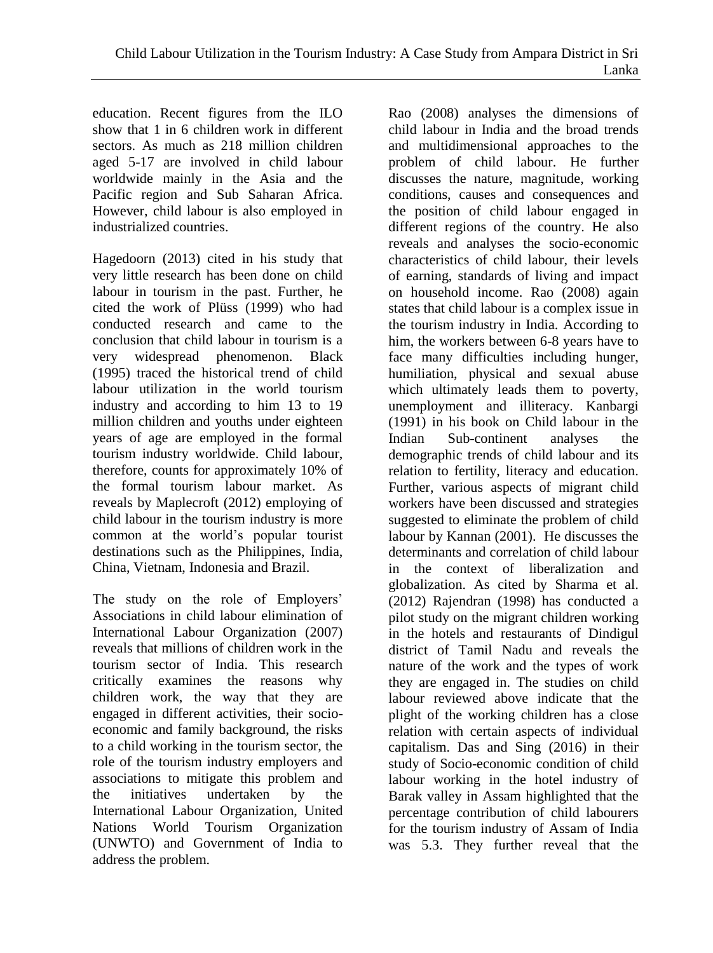education. Recent figures from the ILO show that 1 in 6 children work in different sectors. As much as 218 million children aged 5-17 are involved in child labour worldwide mainly in the Asia and the Pacific region and Sub Saharan Africa. However, child labour is also employed in industrialized countries.

Hagedoorn (2013) cited in his study that very little research has been done on child labour in tourism in the past. Further, he cited the work of Plüss (1999) who had conducted research and came to the conclusion that child labour in tourism is a very widespread phenomenon. Black (1995) traced the historical trend of child labour utilization in the world tourism industry and according to him 13 to 19 million children and youths under eighteen years of age are employed in the formal tourism industry worldwide. Child labour, therefore, counts for approximately 10% of the formal tourism labour market. As reveals by Maplecroft (2012) employing of child labour in the tourism industry is more common at the world's popular tourist destinations such as the Philippines, India, China, Vietnam, Indonesia and Brazil.

The study on the role of Employers' Associations in child labour elimination of International Labour Organization (2007) reveals that millions of children work in the tourism sector of India. This research critically examines the reasons why children work, the way that they are engaged in different activities, their socioeconomic and family background, the risks to a child working in the tourism sector, the role of the tourism industry employers and associations to mitigate this problem and the initiatives undertaken by the International Labour Organization, United Nations World Tourism Organization (UNWTO) and Government of India to address the problem.

Rao (2008) analyses the dimensions of child labour in India and the broad trends and multidimensional approaches to the problem of child labour. He further discusses the nature, magnitude, working conditions, causes and consequences and the position of child labour engaged in different regions of the country. He also reveals and analyses the socio-economic characteristics of child labour, their levels of earning, standards of living and impact on household income. Rao (2008) again states that child labour is a complex issue in the tourism industry in India. According to him, the workers between 6-8 years have to face many difficulties including hunger, humiliation, physical and sexual abuse which ultimately leads them to poverty, unemployment and illiteracy. Kanbargi (1991) in his book on Child labour in the Indian Sub-continent analyses the demographic trends of child labour and its relation to fertility, literacy and education. Further, various aspects of migrant child workers have been discussed and strategies suggested to eliminate the problem of child labour by Kannan (2001). He discusses the determinants and correlation of child labour in the context of liberalization and globalization. As cited by Sharma et al. (2012) Rajendran (1998) has conducted a pilot study on the migrant children working in the hotels and restaurants of Dindigul district of Tamil Nadu and reveals the nature of the work and the types of work they are engaged in. The studies on child labour reviewed above indicate that the plight of the working children has a close relation with certain aspects of individual capitalism. Das and Sing (2016) in their study of Socio-economic condition of child labour working in the hotel industry of Barak valley in Assam highlighted that the percentage contribution of child labourers for the tourism industry of Assam of India was 5.3. They further reveal that the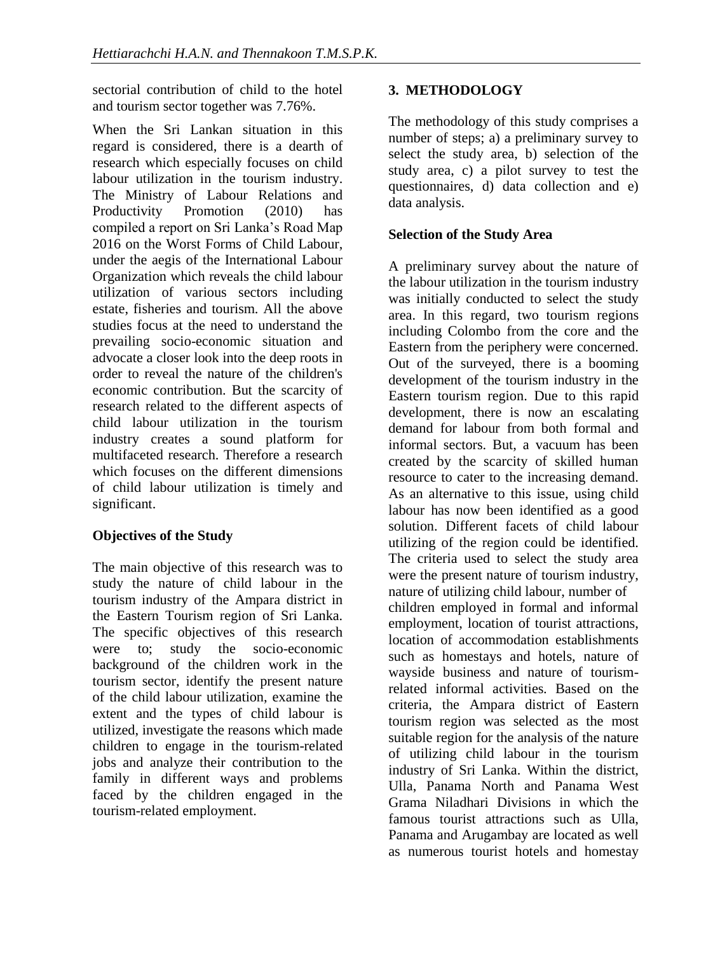sectorial contribution of child to the hotel and tourism sector together was 7.76%.

When the Sri Lankan situation in this regard is considered, there is a dearth of research which especially focuses on child labour utilization in the tourism industry. The Ministry of Labour Relations and Productivity Promotion (2010) has compiled a report on Sri Lanka's Road Map 2016 on the Worst Forms of Child Labour, under the aegis of the International Labour Organization which reveals the child labour utilization of various sectors including estate, fisheries and tourism. All the above studies focus at the need to understand the prevailing socio-economic situation and advocate a closer look into the deep roots in order to reveal the nature of the children's economic contribution. But the scarcity of research related to the different aspects of child labour utilization in the tourism industry creates a sound platform for multifaceted research. Therefore a research which focuses on the different dimensions of child labour utilization is timely and significant.

# **Objectives of the Study**

The main objective of this research was to study the nature of child labour in the tourism industry of the Ampara district in the Eastern Tourism region of Sri Lanka. The specific objectives of this research were to; study the socio-economic background of the children work in the tourism sector, identify the present nature of the child labour utilization, examine the extent and the types of child labour is utilized, investigate the reasons which made children to engage in the tourism-related jobs and analyze their contribution to the family in different ways and problems faced by the children engaged in the tourism-related employment.

# **3. METHODOLOGY**

The methodology of this study comprises a number of steps; a) a preliminary survey to select the study area, b) selection of the study area, c) a pilot survey to test the questionnaires, d) data collection and e) data analysis.

# **Selection of the Study Area**

A preliminary survey about the nature of the labour utilization in the tourism industry was initially conducted to select the study area. In this regard, two tourism regions including Colombo from the core and the Eastern from the periphery were concerned. Out of the surveyed, there is a booming development of the tourism industry in the Eastern tourism region. Due to this rapid development, there is now an escalating demand for labour from both formal and informal sectors. But, a vacuum has been created by the scarcity of skilled human resource to cater to the increasing demand. As an alternative to this issue, using child labour has now been identified as a good solution. Different facets of child labour utilizing of the region could be identified. The criteria used to select the study area were the present nature of tourism industry, nature of utilizing child labour, number of children employed in formal and informal employment, location of tourist attractions, location of accommodation establishments such as homestays and hotels, nature of wayside business and nature of tourismrelated informal activities. Based on the criteria, the Ampara district of Eastern tourism region was selected as the most suitable region for the analysis of the nature of utilizing child labour in the tourism industry of Sri Lanka. Within the district, Ulla, Panama North and Panama West Grama Niladhari Divisions in which the famous tourist attractions such as Ulla, Panama and Arugambay are located as well as numerous tourist hotels and homestay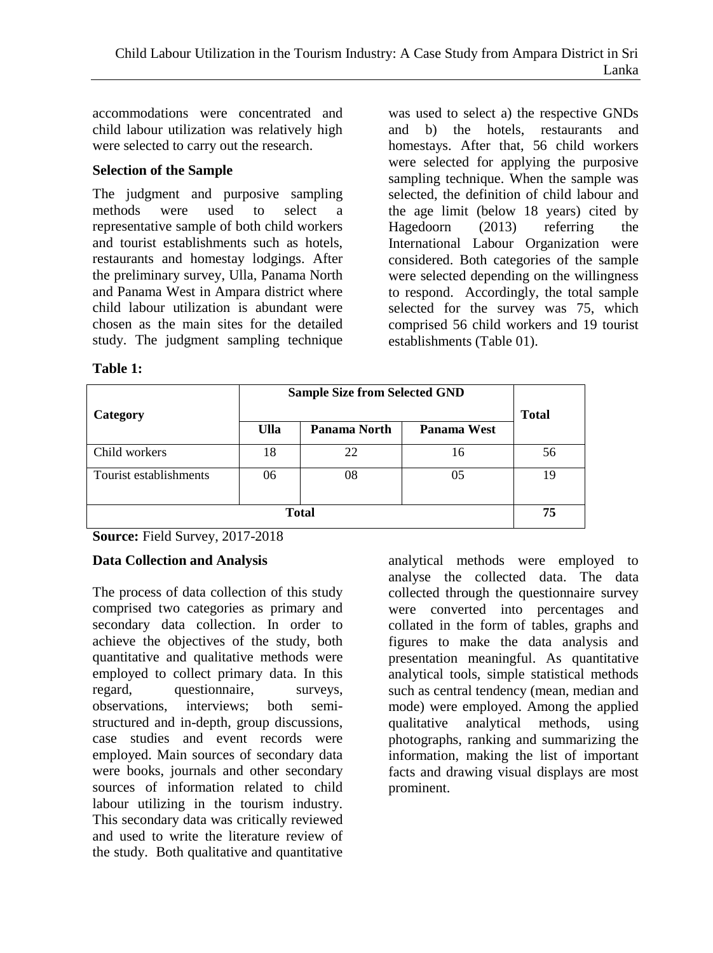accommodations were concentrated and child labour utilization was relatively high were selected to carry out the research.

#### **Selection of the Sample**

The judgment and purposive sampling methods were used to select a representative sample of both child workers and tourist establishments such as hotels, restaurants and homestay lodgings. After the preliminary survey, Ulla, Panama North and Panama West in Ampara district where child labour utilization is abundant were chosen as the main sites for the detailed study. The judgment sampling technique was used to select a) the respective GNDs and b) the hotels, restaurants and homestays. After that, 56 child workers were selected for applying the purposive sampling technique. When the sample was selected, the definition of child labour and the age limit (below 18 years) cited by Hagedoorn (2013) referring the International Labour Organization were considered. Both categories of the sample were selected depending on the willingness to respond. Accordingly, the total sample selected for the survey was 75, which comprised 56 child workers and 19 tourist establishments (Table 01).

**Table 1:**

| Category               | <b>Sample Size from Selected GND</b> |              |                    | <b>Total</b> |  |
|------------------------|--------------------------------------|--------------|--------------------|--------------|--|
|                        | Ulla                                 | Panama North | <b>Panama West</b> |              |  |
| Child workers          | 18                                   | 22           | 16                 | 56           |  |
| Tourist establishments | 06                                   | 08           | 05                 | 19           |  |
| <b>Total</b>           |                                      |              |                    | 75           |  |

**Source:** Field Survey, 2017-2018

## **Data Collection and Analysis**

The process of data collection of this study comprised two categories as primary and secondary data collection. In order to achieve the objectives of the study, both quantitative and qualitative methods were employed to collect primary data. In this regard, questionnaire, surveys, observations, interviews; both semistructured and in-depth, group discussions, case studies and event records were employed. Main sources of secondary data were books, journals and other secondary sources of information related to child labour utilizing in the tourism industry. This secondary data was critically reviewed and used to write the literature review of the study. Both qualitative and quantitative

analytical methods were employed to analyse the collected data. The data collected through the questionnaire survey were converted into percentages and collated in the form of tables, graphs and figures to make the data analysis and presentation meaningful. As quantitative analytical tools, simple statistical methods such as central tendency (mean, median and mode) were employed. Among the applied qualitative analytical methods, using photographs, ranking and summarizing the information, making the list of important facts and drawing visual displays are most prominent.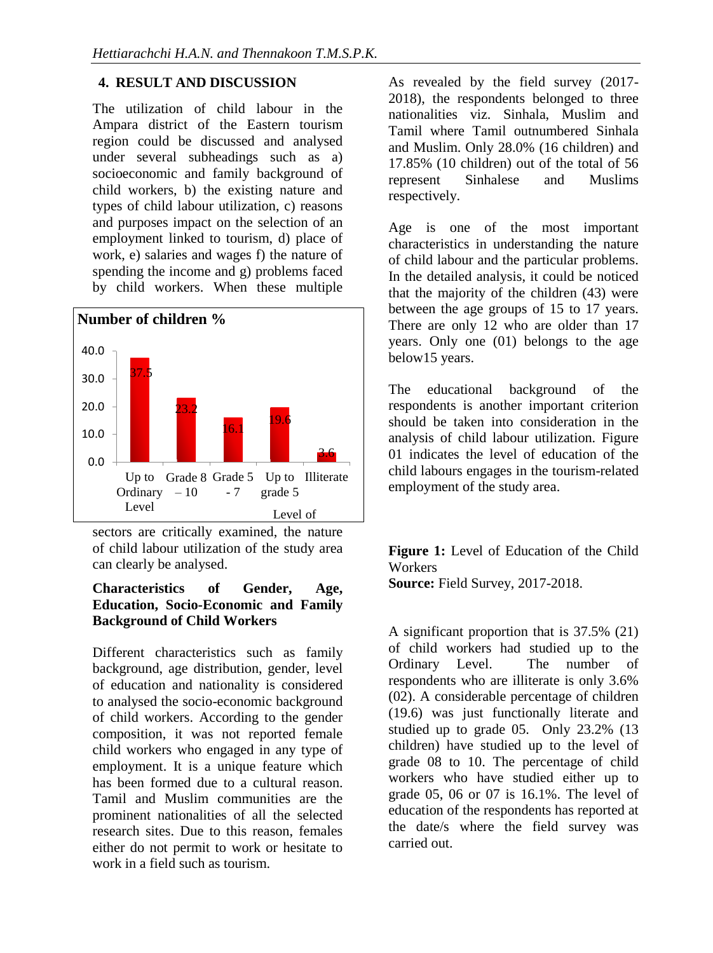## **4. RESULT AND DISCUSSION**

The utilization of child labour in the Ampara district of the Eastern tourism region could be discussed and analysed under several subheadings such as a) socioeconomic and family background of child workers, b) the existing nature and types of child labour utilization, c) reasons and purposes impact on the selection of an employment linked to tourism, d) place of work, e) salaries and wages f) the nature of spending the income and g) problems faced by child workers. When these multiple



sectors are critically examined, the nature of child labour utilization of the study area can clearly be analysed.

### **Characteristics of Gender, Age, Education, Socio-Economic and Family Background of Child Workers**

Different characteristics such as family background, age distribution, gender, level of education and nationality is considered to analysed the socio-economic background of child workers. According to the gender composition, it was not reported female child workers who engaged in any type of employment. It is a unique feature which has been formed due to a cultural reason. Tamil and Muslim communities are the prominent nationalities of all the selected research sites. Due to this reason, females either do not permit to work or hesitate to work in a field such as tourism.

As revealed by the field survey (2017- 2018), the respondents belonged to three nationalities viz. Sinhala, Muslim and Tamil where Tamil outnumbered Sinhala and Muslim. Only 28.0% (16 children) and 17.85% (10 children) out of the total of 56 represent Sinhalese and Muslims respectively.

Age is one of the most important characteristics in understanding the nature of child labour and the particular problems. In the detailed analysis, it could be noticed that the majority of the children (43) were between the age groups of 15 to 17 years. There are only 12 who are older than 17 years. Only one (01) belongs to the age below15 years.

The educational background of the respondents is another important criterion should be taken into consideration in the analysis of child labour utilization. Figure 01 indicates the level of education of the child labours engages in the tourism-related employment of the study area.

**Figure 1:** Level of Education of the Child **Workers Source:** Field Survey, 2017-2018.

A significant proportion that is 37.5% (21) of child workers had studied up to the Ordinary Level. The number of respondents who are illiterate is only 3.6% (02). A considerable percentage of children (19.6) was just functionally literate and studied up to grade 05. Only 23.2% (13 children) have studied up to the level of grade 08 to 10. The percentage of child workers who have studied either up to grade 05, 06 or 07 is 16.1%. The level of education of the respondents has reported at the date/s where the field survey was carried out.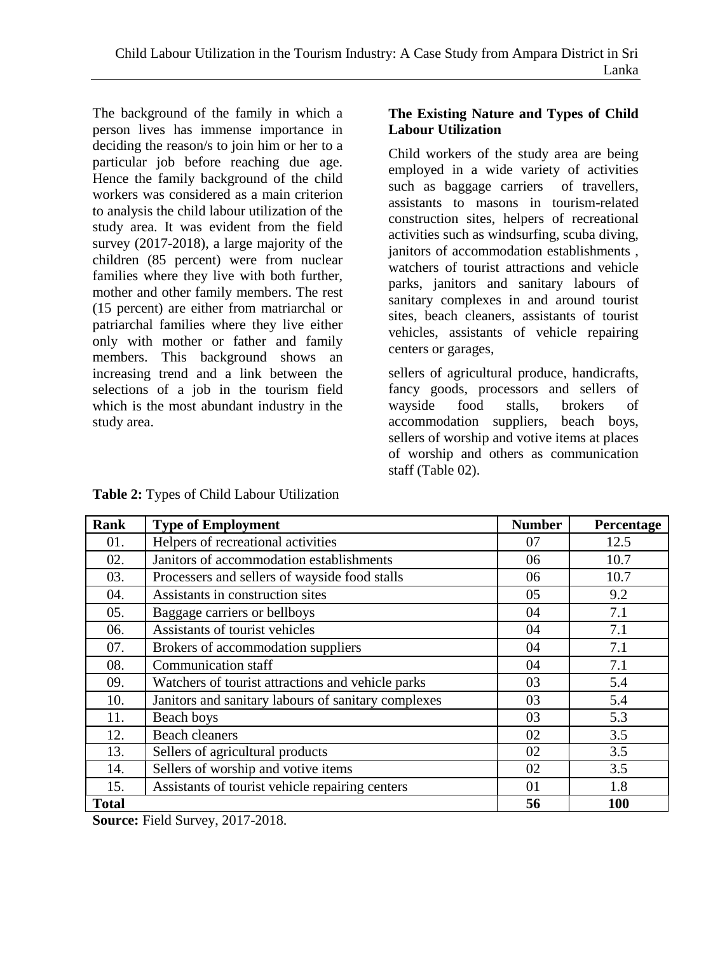The background of the family in which a person lives has immense importance in deciding the reason/s to join him or her to a particular job before reaching due age. Hence the family background of the child workers was considered as a main criterion to analysis the child labour utilization of the study area. It was evident from the field survey (2017-2018), a large majority of the children (85 percent) were from nuclear families where they live with both further, mother and other family members. The rest (15 percent) are either from matriarchal or patriarchal families where they live either only with mother or father and family members. This background shows an increasing trend and a link between the selections of a job in the tourism field which is the most abundant industry in the study area.

## **The Existing Nature and Types of Child Labour Utilization**

Child workers of the study area are being employed in a wide variety of activities such as baggage carriers of travellers, assistants to masons in tourism-related construction sites, helpers of recreational activities such as windsurfing, scuba diving, janitors of accommodation establishments , watchers of tourist attractions and vehicle parks, janitors and sanitary labours of sanitary complexes in and around tourist sites, beach cleaners, assistants of tourist vehicles, assistants of vehicle repairing centers or garages,

sellers of agricultural produce, handicrafts, fancy goods, processors and sellers of wayside food stalls, brokers of accommodation suppliers, beach boys, sellers of worship and votive items at places of worship and others as communication staff (Table 02).

| Rank         | <b>Type of Employment</b>                           | <b>Number</b> | Percentage |
|--------------|-----------------------------------------------------|---------------|------------|
| 01.          | Helpers of recreational activities                  | 07            | 12.5       |
| 02.          | Janitors of accommodation establishments            | 06            | 10.7       |
| 03.          | Processers and sellers of wayside food stalls       | 06            | 10.7       |
| 04.          | Assistants in construction sites                    | 05            | 9.2        |
| 05.          | Baggage carriers or bellboys                        | 04            | 7.1        |
| 06.          | Assistants of tourist vehicles                      | 04            | 7.1        |
| 07.          | Brokers of accommodation suppliers                  | 04            | 7.1        |
| 08.          | Communication staff                                 | 04            | 7.1        |
| 09.          | Watchers of tourist attractions and vehicle parks   | 03            | 5.4        |
| 10.          | Janitors and sanitary labours of sanitary complexes | 03            | 5.4        |
| 11.          | Beach boys                                          | 03            | 5.3        |
| 12.          | <b>Beach cleaners</b>                               | 02            | 3.5        |
| 13.          | Sellers of agricultural products                    | 02            | 3.5        |
| 14.          | Sellers of worship and votive items                 | 02            | 3.5        |
| 15.          | Assistants of tourist vehicle repairing centers     | 01            | 1.8        |
| <b>Total</b> |                                                     | 56            | 100        |

**Table 2:** Types of Child Labour Utilization

**Source:** Field Survey, 2017-2018.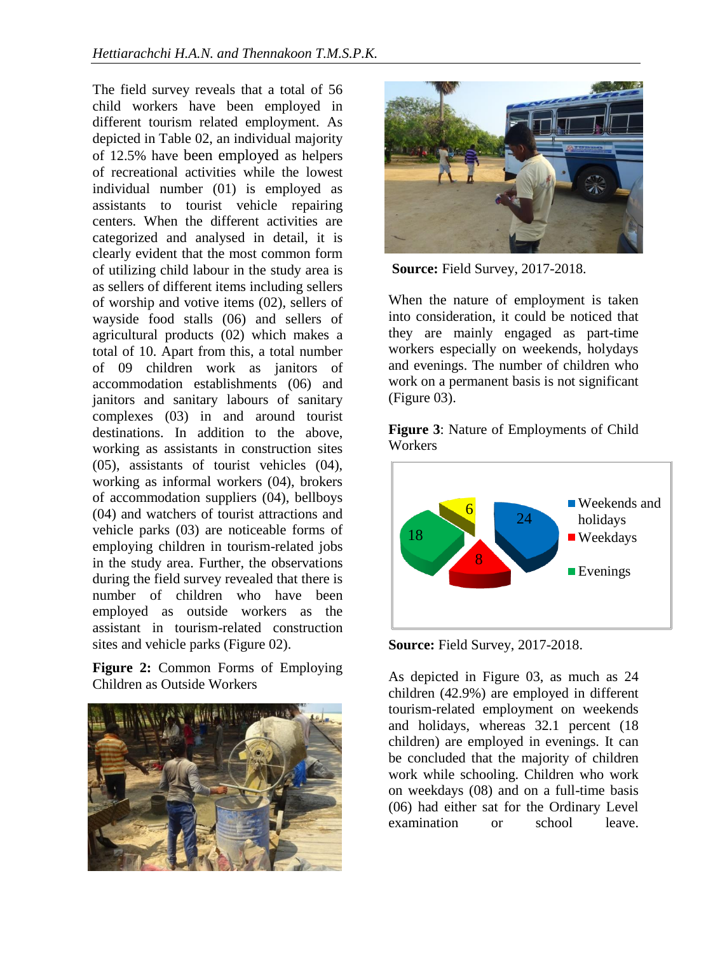The field survey reveals that a total of 56 child workers have been employed in different tourism related employment. As depicted in Table 02, an individual majority of 12.5% have been employed as helpers of recreational activities while the lowest individual number (01) is employed as assistants to tourist vehicle repairing centers. When the different activities are categorized and analysed in detail, it is clearly evident that the most common form of utilizing child labour in the study area is as sellers of different items including sellers of worship and votive items (02), sellers of wayside food stalls (06) and sellers of agricultural products (02) which makes a total of 10. Apart from this, a total number of 09 children work as janitors of accommodation establishments (06) and janitors and sanitary labours of sanitary complexes (03) in and around tourist destinations. In addition to the above, working as assistants in construction sites (05), assistants of tourist vehicles (04), working as informal workers (04), brokers of accommodation suppliers (04), bellboys (04) and watchers of tourist attractions and vehicle parks (03) are noticeable forms of employing children in tourism-related jobs in the study area. Further, the observations during the field survey revealed that there is number of children who have been employed as outside workers as the assistant in tourism-related construction sites and vehicle parks (Figure 02).

**Figure 2:** Common Forms of Employing Children as Outside Workers





**Source:** Field Survey, 2017-2018.

When the nature of employment is taken into consideration, it could be noticed that they are mainly engaged as part-time workers especially on weekends, holydays and evenings. The number of children who work on a permanent basis is not significant (Figure 03).

**Figure 3**: Nature of Employments of Child **Workers** 



**Source:** Field Survey, 2017-2018.

As depicted in Figure 03, as much as 24 children (42.9%) are employed in different tourism-related employment on weekends and holidays, whereas 32.1 percent (18 children) are employed in evenings. It can be concluded that the majority of children work while schooling. Children who work on weekdays (08) and on a full-time basis (06) had either sat for the Ordinary Level examination or school leave.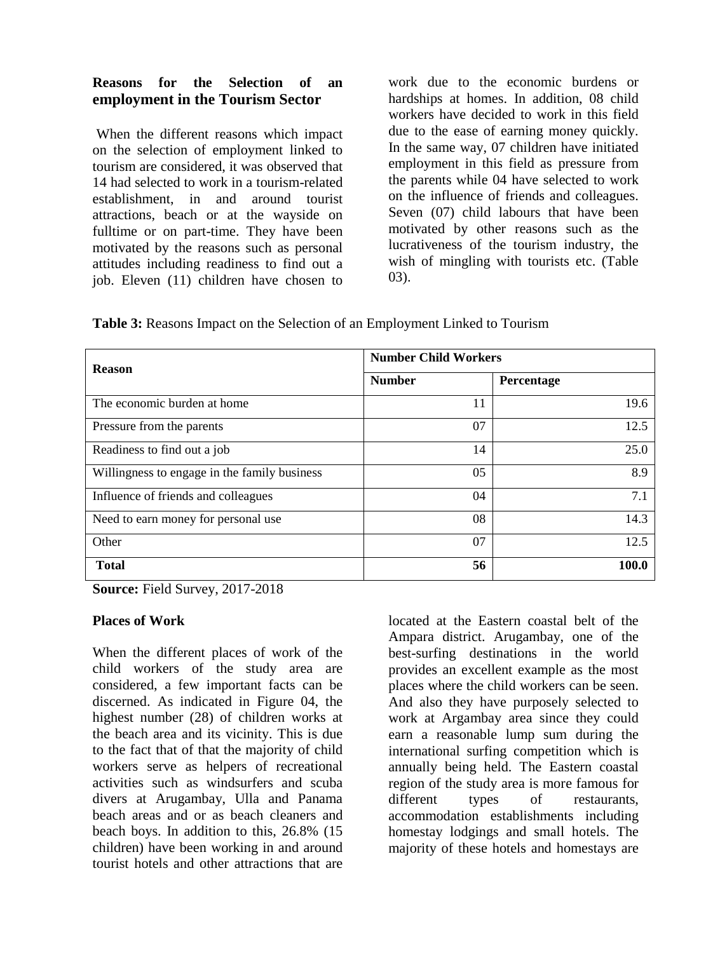#### **Reasons for the Selection of an employment in the Tourism Sector**

When the different reasons which impact on the selection of employment linked to tourism are considered, it was observed that 14 had selected to work in a tourism-related establishment, in and around tourist attractions, beach or at the wayside on fulltime or on part-time. They have been motivated by the reasons such as personal attitudes including readiness to find out a job. Eleven (11) children have chosen to work due to the economic burdens or hardships at homes. In addition, 08 child workers have decided to work in this field due to the ease of earning money quickly. In the same way, 07 children have initiated employment in this field as pressure from the parents while 04 have selected to work on the influence of friends and colleagues. Seven (07) child labours that have been motivated by other reasons such as the lucrativeness of the tourism industry, the wish of mingling with tourists etc. (Table 03).

**Table 3:** Reasons Impact on the Selection of an Employment Linked to Tourism

| <b>Reason</b>                                | <b>Number Child Workers</b> |            |  |
|----------------------------------------------|-----------------------------|------------|--|
|                                              | <b>Number</b>               | Percentage |  |
| The economic burden at home                  | 11                          | 19.6       |  |
| Pressure from the parents                    | 07                          | 12.5       |  |
| Readiness to find out a job                  | 14                          | 25.0       |  |
| Willingness to engage in the family business | 05                          | 8.9        |  |
| Influence of friends and colleagues          | 04                          | 7.1        |  |
| Need to earn money for personal use.         | 08                          | 14.3       |  |
| Other                                        | 07                          | 12.5       |  |
| <b>Total</b>                                 | 56                          | 100.0      |  |

**Source:** Field Survey, 2017-2018

#### **Places of Work**

When the different places of work of the child workers of the study area are considered, a few important facts can be discerned. As indicated in Figure 04, the highest number (28) of children works at the beach area and its vicinity. This is due to the fact that of that the majority of child workers serve as helpers of recreational activities such as windsurfers and scuba divers at Arugambay, Ulla and Panama beach areas and or as beach cleaners and beach boys. In addition to this, 26.8% (15 children) have been working in and around tourist hotels and other attractions that are

located at the Eastern coastal belt of the Ampara district. Arugambay, one of the best-surfing destinations in the world provides an excellent example as the most places where the child workers can be seen. And also they have purposely selected to work at Argambay area since they could earn a reasonable lump sum during the international surfing competition which is annually being held. The Eastern coastal region of the study area is more famous for different types of restaurants, accommodation establishments including homestay lodgings and small hotels. The majority of these hotels and homestays are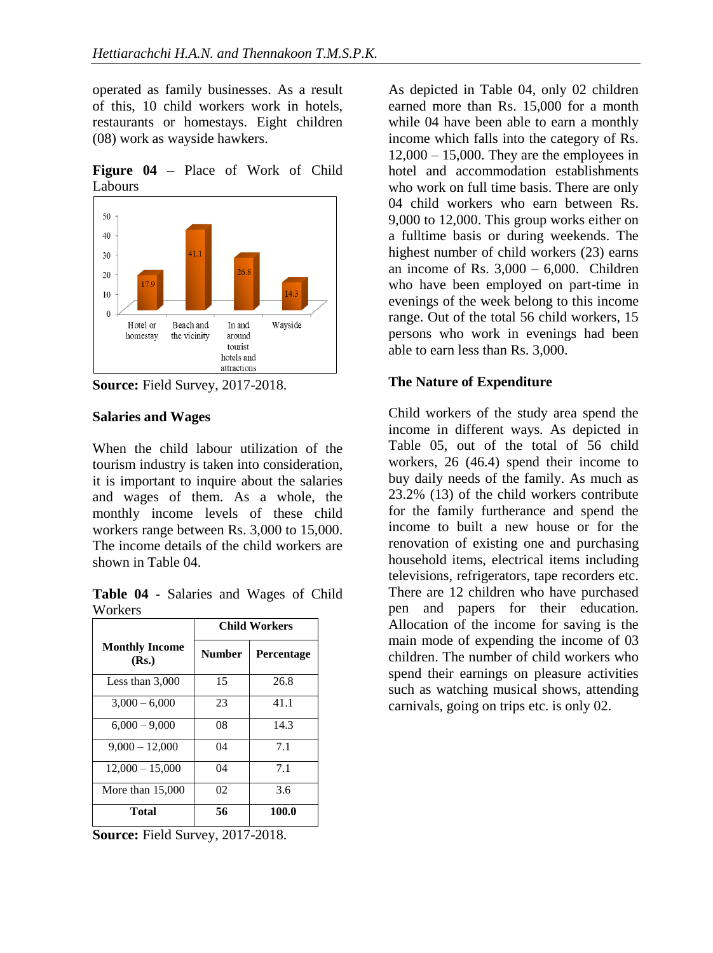operated as family businesses. As a result of this, 10 child workers work in hotels, restaurants or homestays. Eight children (08) work as wayside hawkers.

**Figure 04 –** Place of Work of Child Labours



**Source:** Field Survey, 2017-2018.

#### **Salaries and Wages**

When the child labour utilization of the tourism industry is taken into consideration, it is important to inquire about the salaries and wages of them. As a whole, the monthly income levels of these child workers range between Rs. 3,000 to 15,000. The income details of the child workers are shown in Table 04.

**Table 04 -** Salaries and Wages of Child **Workers** 

|                                | <b>Child Workers</b> |            |
|--------------------------------|----------------------|------------|
| <b>Monthly Income</b><br>(Rs.) | <b>Number</b>        | Percentage |
| Less than $3,000$              | 15                   | 26.8       |
| $3,000 - 6,000$                | 23                   | 41.1       |
| $6,000 - 9,000$                | 08                   | 14.3       |
| $9,000 - 12,000$               | 04                   | 7.1        |
| $12,000 - 15,000$              | 04                   | 7.1        |
| More than $15,000$             | 02                   | 3.6        |
| <b>Total</b>                   | 56                   | 100.0      |

**Source:** Field Survey, 2017-2018.

As depicted in Table 04, only 02 children earned more than Rs. 15,000 for a month while 04 have been able to earn a monthly income which falls into the category of Rs.  $12,000 - 15,000$ . They are the employees in hotel and accommodation establishments who work on full time basis. There are only 04 child workers who earn between Rs. 9,000 to 12,000. This group works either on a fulltime basis or during weekends. The highest number of child workers (23) earns an income of Rs.  $3,000 - 6,000$ . Children who have been employed on part-time in evenings of the week belong to this income range. Out of the total 56 child workers, 15 persons who work in evenings had been able to earn less than Rs. 3,000.

### **The Nature of Expenditure**

Child workers of the study area spend the income in different ways. As depicted in Table 05, out of the total of 56 child workers, 26 (46.4) spend their income to buy daily needs of the family. As much as 23.2% (13) of the child workers contribute for the family furtherance and spend the income to built a new house or for the renovation of existing one and purchasing household items, electrical items including televisions, refrigerators, tape recorders etc. There are 12 children who have purchased pen and papers for their education. Allocation of the income for saving is the main mode of expending the income of 03 children. The number of child workers who spend their earnings on pleasure activities such as watching musical shows, attending carnivals, going on trips etc. is only 02.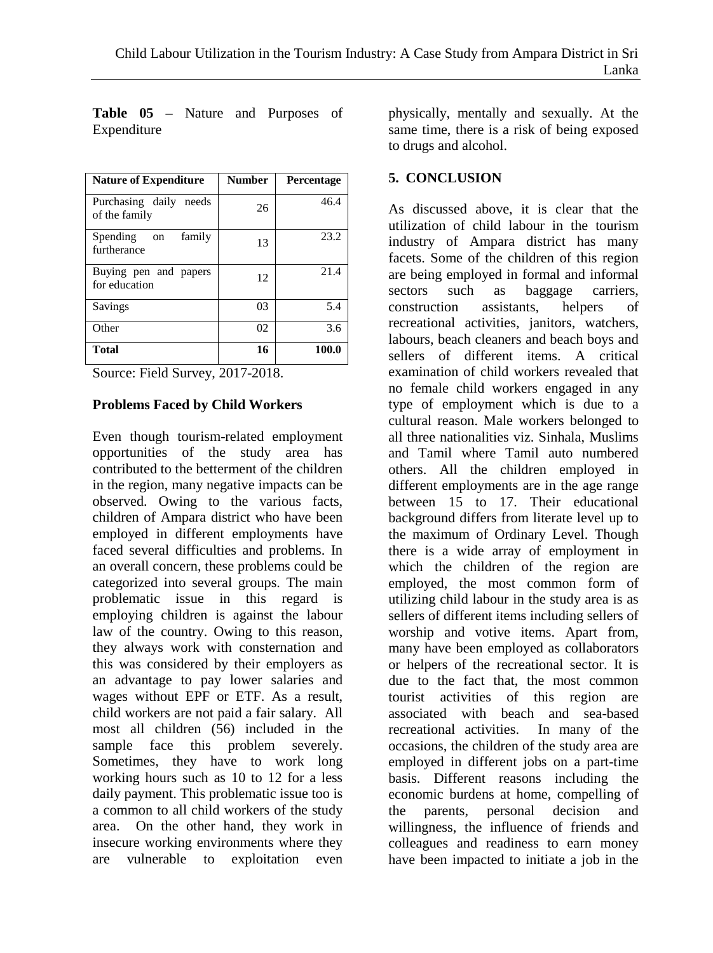| <b>Nature of Expenditure</b>               | <b>Number</b> | Percentage |
|--------------------------------------------|---------------|------------|
| Purchasing daily<br>needs<br>of the family | 26            | 46.4       |
| Spending<br>family<br>on<br>furtherance    | 13            | 23.2       |
| Buying pen and papers<br>for education     | 12            | 21.4       |
| Savings                                    | 03            | 5.4        |
| Other                                      | 02            | 3.6        |
| <b>Total</b>                               | 16            | 100.0      |

**Table 05 –** Nature and Purposes of Expenditure

Source: Field Survey, 2017-2018.

#### **Problems Faced by Child Workers**

Even though tourism-related employment opportunities of the study area has contributed to the betterment of the children in the region, many negative impacts can be observed. Owing to the various facts, children of Ampara district who have been employed in different employments have faced several difficulties and problems. In an overall concern, these problems could be categorized into several groups. The main problematic issue in this regard is employing children is against the labour law of the country. Owing to this reason, they always work with consternation and this was considered by their employers as an advantage to pay lower salaries and wages without EPF or ETF. As a result, child workers are not paid a fair salary. All most all children (56) included in the sample face this problem severely. Sometimes, they have to work long working hours such as 10 to 12 for a less daily payment. This problematic issue too is a common to all child workers of the study area. On the other hand, they work in insecure working environments where they are vulnerable to exploitation even

physically, mentally and sexually. At the same time, there is a risk of being exposed to drugs and alcohol.

#### **5. CONCLUSION**

As discussed above, it is clear that the utilization of child labour in the tourism industry of Ampara district has many facets. Some of the children of this region are being employed in formal and informal sectors such as baggage carriers, construction assistants, helpers of recreational activities, janitors, watchers, labours, beach cleaners and beach boys and sellers of different items. A critical examination of child workers revealed that no female child workers engaged in any type of employment which is due to a cultural reason. Male workers belonged to all three nationalities viz. Sinhala, Muslims and Tamil where Tamil auto numbered others. All the children employed in different employments are in the age range between 15 to 17. Their educational background differs from literate level up to the maximum of Ordinary Level. Though there is a wide array of employment in which the children of the region are employed, the most common form of utilizing child labour in the study area is as sellers of different items including sellers of worship and votive items. Apart from, many have been employed as collaborators or helpers of the recreational sector. It is due to the fact that, the most common tourist activities of this region are associated with beach and sea-based recreational activities. In many of the occasions, the children of the study area are employed in different jobs on a part-time basis. Different reasons including the economic burdens at home, compelling of the parents, personal decision and willingness, the influence of friends and colleagues and readiness to earn money have been impacted to initiate a job in the